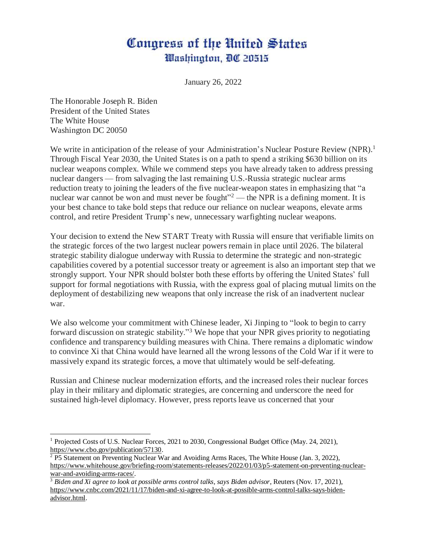## Congress of the United States Washington, DC 20515

January 26, 2022

The Honorable Joseph R. Biden President of the United States The White House Washington DC 20050

We write in anticipation of the release of your Administration's Nuclear Posture Review (NPR).<sup>1</sup> Through Fiscal Year 2030, the United States is on a path to spend a striking \$630 billion on its nuclear weapons complex. While we commend steps you have already taken to address pressing nuclear dangers — from salvaging the last remaining U.S.-Russia strategic nuclear arms reduction treaty to joining the leaders of the five nuclear-weapon states in emphasizing that "a nuclear war cannot be won and must never be fought"<sup>2</sup> — the NPR is a defining moment. It is your best chance to take bold steps that reduce our reliance on nuclear weapons, elevate arms control, and retire President Trump's new, unnecessary warfighting nuclear weapons.

Your decision to extend the New START Treaty with Russia will ensure that verifiable limits on the strategic forces of the two largest nuclear powers remain in place until 2026. The bilateral strategic stability dialogue underway with Russia to determine the strategic and non-strategic capabilities covered by a potential successor treaty or agreement is also an important step that we strongly support. Your NPR should bolster both these efforts by offering the United States' full support for formal negotiations with Russia, with the express goal of placing mutual limits on the deployment of destabilizing new weapons that only increase the risk of an inadvertent nuclear war.

We also welcome your commitment with Chinese leader, Xi Jinping to "look to begin to carry" forward discussion on strategic stability."<sup>3</sup> We hope that your NPR gives priority to negotiating confidence and transparency building measures with China. There remains a diplomatic window to convince Xi that China would have learned all the wrong lessons of the Cold War if it were to massively expand its strategic forces, a move that ultimately would be self-defeating.

Russian and Chinese nuclear modernization efforts, and the increased roles their nuclear forces play in their military and diplomatic strategies, are concerning and underscore the need for sustained high-level diplomacy. However, press reports leave us concerned that your

 $\overline{a}$ <sup>1</sup> Projected Costs of U.S. Nuclear Forces, 2021 to 2030, Congressional Budget Office (May. 24, 2021), [https://www.cbo.gov/publication/57130.](https://www.cbo.gov/publication/57130)

 $2$  P5 Statement on Preventing Nuclear War and Avoiding Arms Races, The White House (Jan. 3, 2022), [https://www.whitehouse.gov/briefing-room/statements-releases/2022/01/03/p5-statement-on-preventing-nuclear](https://www.whitehouse.gov/briefing-room/statements-releases/2022/01/03/p5-statement-on-preventing-nuclear-war-and-avoiding-arms-races/)[war-and-avoiding-arms-races/.](https://www.whitehouse.gov/briefing-room/statements-releases/2022/01/03/p5-statement-on-preventing-nuclear-war-and-avoiding-arms-races/)

<sup>3</sup> *Biden and Xi agree to look at possible arms control talks, says Biden advisor*, Reuters (Nov. 17, 2021), [https://www.cnbc.com/2021/11/17/biden-and-xi-agree-to-look-at-possible-arms-control-talks-says-biden](https://www.cnbc.com/2021/11/17/biden-and-xi-agree-to-look-at-possible-arms-control-talks-says-biden-advisor.html)[advisor.html.](https://www.cnbc.com/2021/11/17/biden-and-xi-agree-to-look-at-possible-arms-control-talks-says-biden-advisor.html)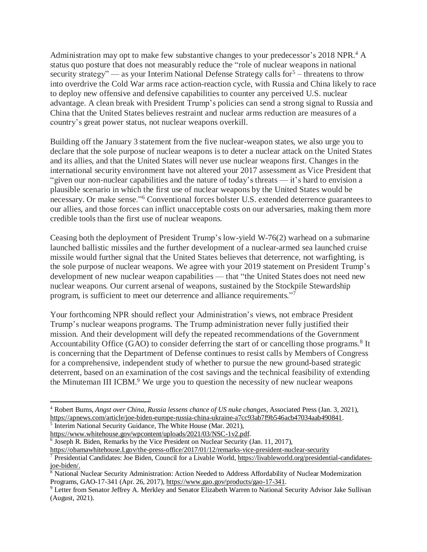Administration may opt to make few substantive changes to your predecessor's 2018 NPR.<sup>4</sup> A status quo posture that does not measurably reduce the "role of nuclear weapons in national security strategy" — as your Interim National Defense Strategy calls for  $5$  – threatens to throw into overdrive the Cold War arms race action-reaction cycle, with Russia and China likely to race to deploy new offensive and defensive capabilities to counter any perceived U.S. nuclear advantage. A clean break with President Trump's policies can send a strong signal to Russia and China that the United States believes restraint and nuclear arms reduction are measures of a country's great power status, not nuclear weapons overkill.

Building off the January 3 statement from the five nuclear-weapon states, we also urge you to declare that the sole purpose of nuclear weapons is to deter a nuclear attack on the United States and its allies, and that the United States will never use nuclear weapons first. Changes in the international security environment have not altered your 2017 assessment as Vice President that "given our non-nuclear capabilities and the nature of today's threats — it's hard to envision a plausible scenario in which the first use of nuclear weapons by the United States would be necessary. Or make sense."<sup>6</sup> Conventional forces bolster U.S. extended deterrence guarantees to our allies, and those forces can inflict unacceptable costs on our adversaries, making them more credible tools than the first use of nuclear weapons.

Ceasing both the deployment of President Trump's low-yield W-76(2) warhead on a submarine launched ballistic missiles and the further development of a nuclear-armed sea launched cruise missile would further signal that the United States believes that deterrence, not warfighting, is the sole purpose of nuclear weapons. We agree with your 2019 statement on President Trump's development of new nuclear weapon capabilities — that "the United States does not need new nuclear weapons. Our current arsenal of weapons, sustained by the Stockpile Stewardship program, is sufficient to meet our deterrence and alliance requirements."<sup>7</sup>

Your forthcoming NPR should reflect your Administration's views, not embrace President Trump's nuclear weapons programs. The Trump administration never fully justified their mission. And their development will defy the repeated recommendations of the Government Accountability Office (GAO) to consider deferring the start of or cancelling those programs.<sup>8</sup> It is concerning that the Department of Defense continues to resist calls by Members of Congress for a comprehensive, independent study of whether to pursue the new ground-based strategic deterrent, based on an examination of the cost savings and the technical feasibility of extending the Minuteman III ICBM.<sup>9</sup> We urge you to question the necessity of new nuclear weapons

l

<sup>4</sup> Robert Burns, *Angst over China, Russia lessens chance of US nuke changes,* Associated Press (Jan. 3, 2021), [https://apnews.com/article/joe-biden-europe-russia-china-ukraine-a7cc93ab7f9b546acb47034aab490841.](https://apnews.com/article/joe-biden-europe-russia-china-ukraine-a7cc93ab7f9b546acb47034aab490841)

<sup>&</sup>lt;sup>5</sup> Interim National Security Guidance, The White House (Mar. 2021), [https://www.whitehouse.gov/wpcontent/uploads/2021/03/NSC-1v2.pdf.](https://www.whitehouse.gov/wpcontent/uploads/2021/03/NSC-1v2.pdf)

<sup>&</sup>lt;sup>6</sup> Joseph R. Biden, Remarks by the Vice President on Nuclear Security (Jan. 11, 2017),

[https://obamawhitehouse.I.gov/the-press-office/2017/01/12/remarks-vice-president-nuclear-security](https://obamawhitehouse.i.gov/the-press-office/2017/01/12/remarks-vice-president-nuclear-security) <sup>7</sup> Presidential Candidates: Joe Biden, Council for a Livable World, [https://livableworld.org/presidential-candidates-](https://livableworld.org/presidential-candidates-joe-biden/)

[joe-biden/.](https://livableworld.org/presidential-candidates-joe-biden/)

<sup>&</sup>lt;sup>8</sup> National Nuclear Security Administration: Action Needed to Address Affordability of Nuclear Modernization Programs, GAO-17-341 (Apr. 26, 2017), [https://www.gao.gov/products/gao-17-341.](https://www.gao.gov/products/gao-17-341)

<sup>9</sup> Letter from Senator Jeffrey A. Merkley and Senator Elizabeth Warren to National Security Advisor Jake Sullivan (August, 2021).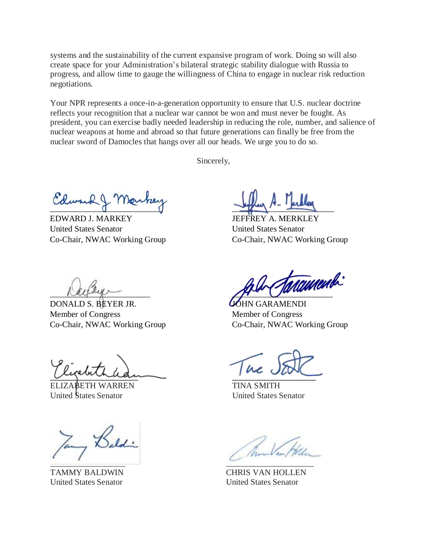systems and the sustainability of the current expansive program of work. Doing so will also create space for your Administration's bilateral strategic stability dialogue with Russia to progress, and allow time to gauge the willingness of China to engage in nuclear risk reduction negotiations.

Your NPR represents a once-in-a-generation opportunity to ensure that U.S. nuclear doctrine reflects your recognition that a nuclear war cannot be won and must never be fought. As president, you can exercise badly needed leadership in reducing the role, number, and salience of nuclear weapons at home and abroad so that future generations can finally be free from the nuclear sword of Damocles that hangs over all our heads. We urge you to do so.

Sincerely,

 $\sigma$   $\sigma$ 

EDWARD J. MARKEY United States Senator Co-Chair, NWAC Working Group

 $\frac{1}{2}$ 

JEFFREY A. MERKLEY United States Senator Co-Chair, NWAC Working Group

 $\alpha$ 

DONALD S. BEYER JR. Member of Congress Co-Chair, NWAC Working Group

riginalem

ELIZABETH WARREN TINA SMITH United States Senator United States Senator

 $\sim$   $\mu$  $\sqrt{2}$ \_\_\_\_\_\_\_\_\_\_\_\_\_\_\_\_\_\_ \_\_\_\_\_\_\_\_\_\_\_\_\_\_\_\_\_\_\_\_\_

<u>anameny</u>

JOHN GARAMENDI Member of Congress Co-Chair, NWAC Working Group

TAMMY BALDWIN CHRIS VAN HOLLEN United States Senator United States Senator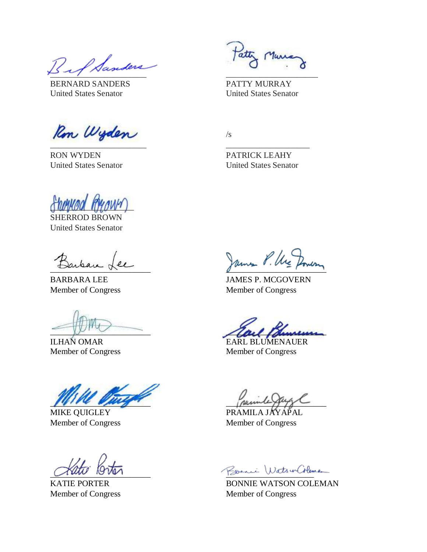\_\_\_\_\_\_\_\_\_\_\_\_\_\_\_\_\_\_\_\_\_\_\_ \_\_\_\_\_\_\_\_\_\_\_\_\_\_\_\_\_\_\_\_\_\_

BERNARD SANDERS PATTY MURRAY United States Senator United States Senator

Ron Wyden  $\overline{\phantom{a}}$  , which is the contract of the contract of the contract of the contract of the contract of the contract of the contract of the contract of the contract of the contract of the contract of the contract of the co

RON WYDEN PATRICK LEAHY

 $\sqrt{s}$ 

United States Senator United States Senator

 $\big(\frac{1}{2}$ SHERROD BROWN

United States Senator

ILHAN OMAR EARL BLUMENAUER

 $\mu$ 

MIKE QUIGLEY PRAMILA JA Member of Congress Member of Congress

 $\frac{1}{2}$  answer des

BARBARA LEE JAMES P. MCGOVERN Member of Congress Member of Congress

 $\sqrt{2}$ 

Member of Congress Member of Congress

<u>Alto</u> Orter Commence Roman Roman WatsurColoman

**BONNIE WATSON COLEMAN** Member of Congress Member of Congress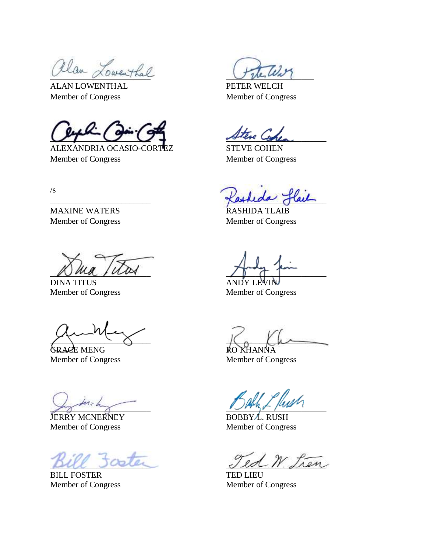Rlan Lowenthal

ALAN LOWENTHAL PETER WELCH Member of Congress Member of Congress

 $U^T$   $U$   $+$   $U^{\#}$   $\omega$   $\omega$ 

ALEXANDRIA OCASIO-CORTEZ STEVE COHEN Member of Congress Member of Congress

 $\sqrt{s}$ 

MAXINE WATERS **RASHIDA TLAIB** Member of Congress Member of Congress

 $\mathcal{D}$  and  $\mathcal{D}$  and  $\mathcal{D}$ 

DINA TITUS AND Y LEVIN AND Y LEVIN AND Y LEVIN AND Y LEVIN AND Y LEVIN AND Y LEVIN AND Y LEVIN AND Y LEVIN AND Y LEVIN AND Y LEVIN AND Y LEVIN AND Y LEVIN AND Y LEVIN AND Y LEVIN AND Y LEVIN AND Y LEVIN AND Y LEVIN AND Y L

GRACE MENG GRACE MENG

JERRY MCNERNEY BOBBY L. RUSH Member of Congress Member of Congress

BILL FOSTER<br>
Member of Congress

TED LIEU<br>
Member of Congress

TED LIEU

 $\frac{6}{3}$   $\frac{6}{3}$   $\frac{1}{3}$   $\frac{1}{3}$   $\frac{1}{3}$ 

Member of Congress

 $\chi \setminus \chi \setminus \chi$  is the set of  $\chi$ 

Member of Congress Member of Congress

 $\frac{1}{1000}$   $\frac{1}{1000}$ 

Ted W. Lien

Member of Congress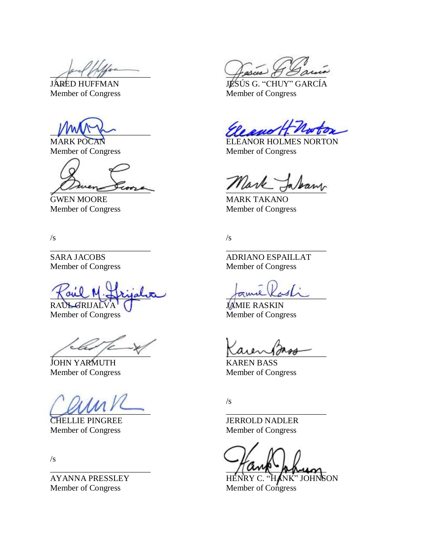Member of Congress Member of Congress

Member of Congress

 $\negthinspace \sim \negthinspace 1$  and  $\negthinspace \sim \negthinspace 1$ 

 $\mu = \nu$  auniversale

JOHN YARMUTH KAREN BASS

 $\mu$ 

Member of Congress Member of Congress

 $\sqrt{s}$ 

AYANNA PRESSLEY HENRY C. "HANK" JOHNSON Member of Congress Member of Congress

 $\mathit{asus}$ 

JÁRÉD HUFFMAN JESÚS G. "CHUY" GARCÍA Member of Congress Member of Congress

 $U$ 

MARK POCAN ELEANOR HOLMES NORTON Member of Congress Member of Congress

Mark Jaban

GWEN MOORE MARK TAKANO

 $\sqrt{s}$  /s

\_\_\_\_\_\_\_\_\_\_\_\_\_\_\_\_\_\_\_\_\_\_\_\_ \_\_\_\_\_\_\_\_\_\_\_\_\_\_\_\_\_\_\_\_\_\_\_\_

SARA JACOBS<br>
Member of Congress<br>
Member of Congress<br>
Member of Congress

RAUL GRIJALVA JAMIE RASKIN<br>Member of Congress Member of Congr Member of Congress

Member of Congress Member of Congress

 $\sqrt{s}$ 

CHELLIE PINGREE JERROLD NADLER

 $\sqrt{\alpha}$  physical physical physical physical physical physical physical physical physical physical physical physical physical physical physical physical physical physical physical physical physical physical physical physic